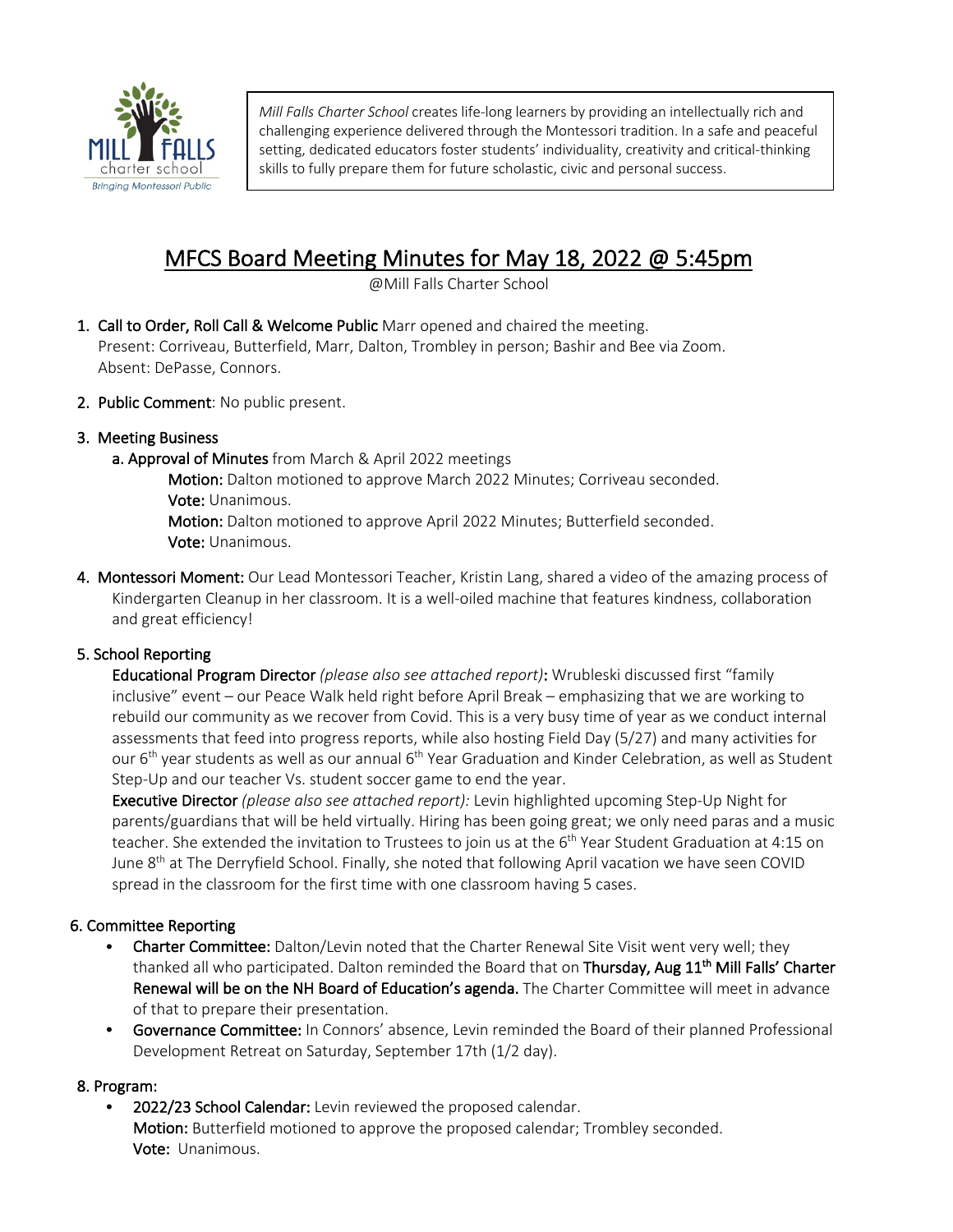

*Mill Falls Charter School* creates life-long learners by providing an intellectually rich and challenging experience delivered through the Montessori tradition. In a safe and peaceful setting, dedicated educators foster students' individuality, creativity and critical-thinking skills to fully prepare them for future scholastic, civic and personal success.

# MFCS Board Meeting Minutes for May 18, 2022 @ 5:45pm  $\frac{1}{\text{QMill Falls Charter School}}$

- 1. Call to Order, Roll Call & Welcome Public Marr opened and chaired the meeting. Present: Corriveau, Butterfield, Marr, Dalton, Trombley in person; Bashir and Bee via Zoom. Absent: DePasse, Connors.
- 2. Public Comment: No public present.

# 3. Meeting Business

a. Approval of Minutes from March & April 2022 meetings

Motion: Dalton motioned to approve March 2022 Minutes; Corriveau seconded. Vote: Unanimous.

Motion: Dalton motioned to approve April 2022 Minutes; Butterfield seconded. Vote: Unanimous.

4. Montessori Moment: Our Lead Montessori Teacher, Kristin Lang, shared a video of the amazing process of Kindergarten Cleanup in her classroom. It is a well-oiled machine that features kindness, collaboration and great efficiency!

# 5. School Reporting

 Educational Program Director *(please also see attached report)*: Wrubleski discussed first "family inclusive" event – our Peace Walk held right before April Break – emphasizing that we are working to rebuild our community as we recover from Covid. This is a very busy time of year as we conduct internal assessments that feed into progress reports, while also hosting Field Day (5/27) and many activities for our 6<sup>th</sup> year students as well as our annual 6<sup>th</sup> Year Graduation and Kinder Celebration, as well as Student Step-Up and our teacher Vs. student soccer game to end the year.

 Executive Director *(please also see attached report):* Levin highlighted upcoming Step-Up Night for parents/guardians that will be held virtually. Hiring has been going great; we only need paras and a music teacher. She extended the invitation to Trustees to join us at the 6<sup>th</sup> Year Student Graduation at 4:15 on June 8<sup>th</sup> at The Derryfield School. Finally, she noted that following April vacation we have seen COVID spread in the classroom for the first time with one classroom having 5 cases.

# 6. Committee Reporting

- Charter Committee: Dalton/Levin noted that the Charter Renewal Site Visit went very well; they thanked all who participated. Dalton reminded the Board that on Thursday, Aug 11<sup>th</sup> Mill Falls' Charter Renewal will be on the NH Board of Education's agenda. The Charter Committee will meet in advance of that to prepare their presentation.
- Governance Committee: In Connors' absence, Levin reminded the Board of their planned Professional Development Retreat on Saturday, September 17th (1/2 day).

## 8. Program:

2022/23 School Calendar: Levin reviewed the proposed calendar. Motion: Butterfield motioned to approve the proposed calendar; Trombley seconded. Vote: Unanimous.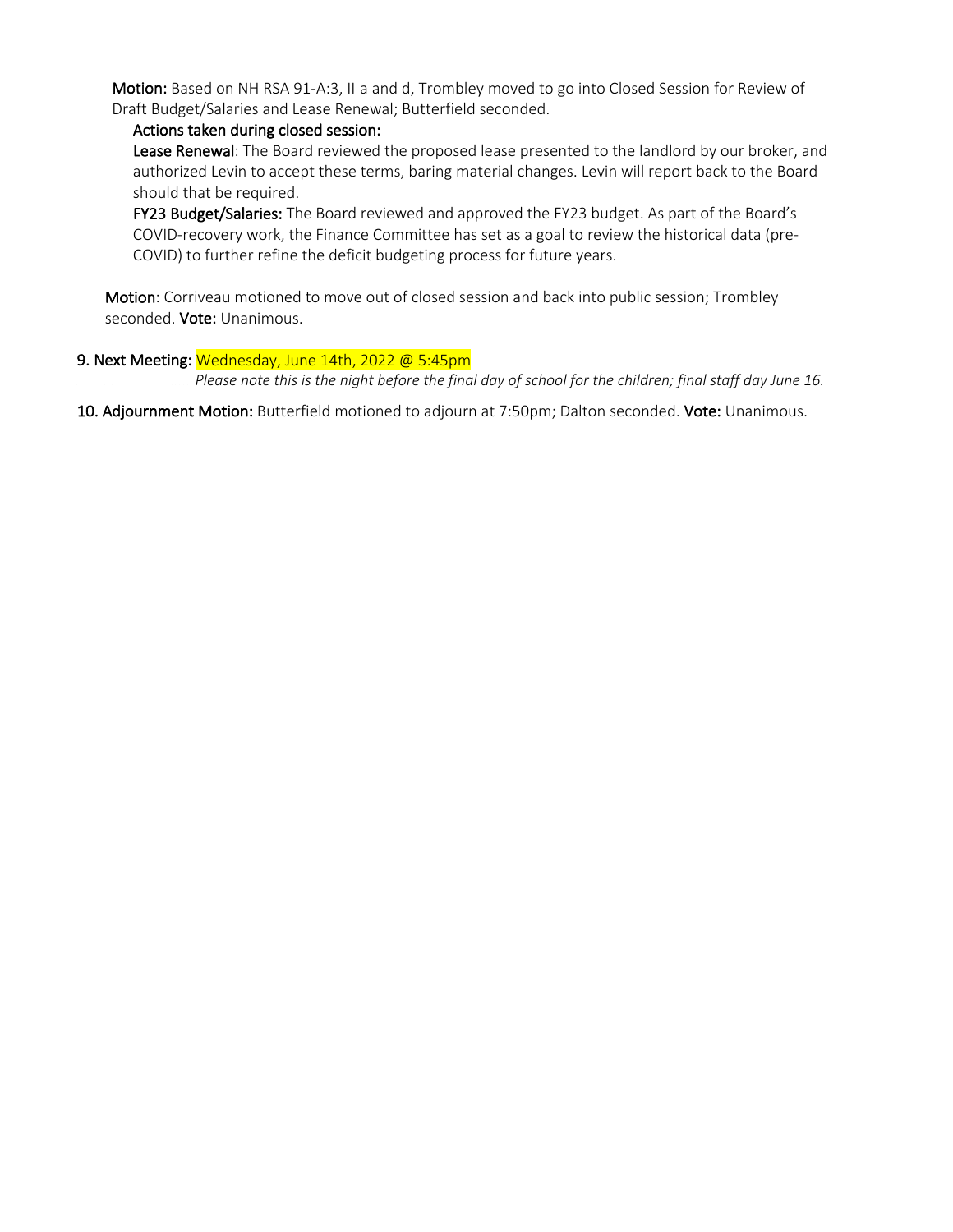Motion: Based on NH RSA 91-A:3, II a and d, Trombley moved to go into Closed Session for Review of Draft Budget/Salaries and Lease Renewal; Butterfield seconded.

## Actions taken during closed session:

Lease Renewal: The Board reviewed the proposed lease presented to the landlord by our broker, and authorized Levin to accept these terms, baring material changes. Levin will report back to the Board should that be required.

FY23 Budget/Salaries: The Board reviewed and approved the FY23 budget. As part of the Board's COVID-recovery work, the Finance Committee has set as a goal to review the historical data (pre-COVID) to further refine the deficit budgeting process for future years.

Motion: Corriveau motioned to move out of closed session and back into public session; Trombley seconded. Vote: Unanimous.

## 9. Next Meeting: Wednesday, June 14th, 2022 @ 5:45pm

 *Please note this is the night before the final day of school for the children; final staff day June 16.*

10. Adjournment Motion: Butterfield motioned to adjourn at 7:50pm; Dalton seconded. Vote: Unanimous.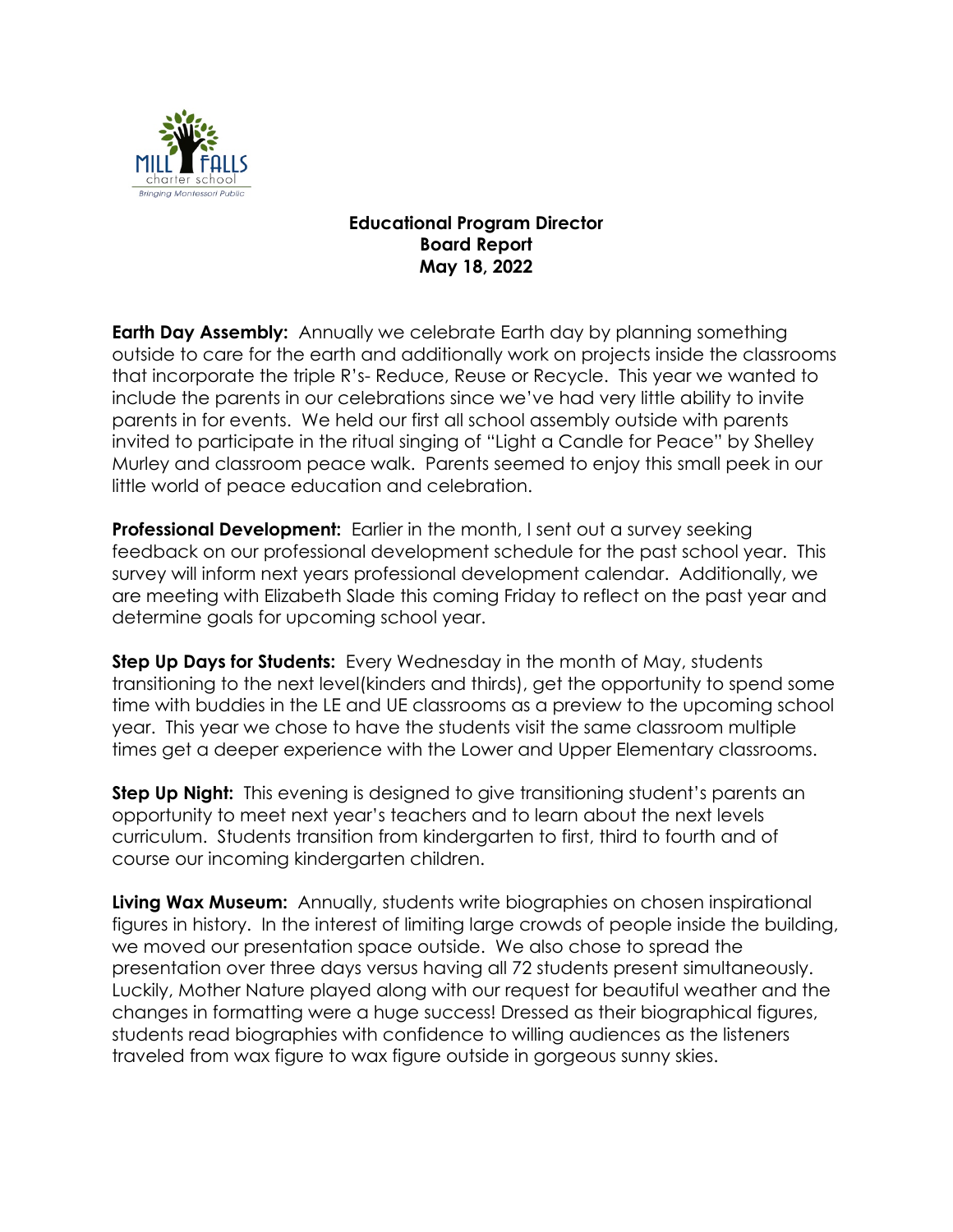

# **Educational Program Director Board Report May 18, 2022**

**Earth Day Assembly:** Annually we celebrate Earth day by planning something outside to care for the earth and additionally work on projects inside the classrooms that incorporate the triple R's- Reduce, Reuse or Recycle. This year we wanted to include the parents in our celebrations since we've had very little ability to invite parents in for events. We held our first all school assembly outside with parents invited to participate in the ritual singing of "Light a Candle for Peace" by Shelley Murley and classroom peace walk. Parents seemed to enjoy this small peek in our little world of peace education and celebration.

**Professional Development:** Earlier in the month, I sent out a survey seeking feedback on our professional development schedule for the past school year. This survey will inform next years professional development calendar. Additionally, we are meeting with Elizabeth Slade this coming Friday to reflect on the past year and determine goals for upcoming school year.

**Step Up Days for Students:** Every Wednesday in the month of May, students transitioning to the next level(kinders and thirds), get the opportunity to spend some time with buddies in the LE and UE classrooms as a preview to the upcoming school year. This year we chose to have the students visit the same classroom multiple times get a deeper experience with the Lower and Upper Elementary classrooms.

**Step Up Night:** This evening is designed to give transitioning student's parents an opportunity to meet next year's teachers and to learn about the next levels curriculum. Students transition from kindergarten to first, third to fourth and of course our incoming kindergarten children.

**Living Wax Museum:** Annually, students write biographies on chosen inspirational figures in history. In the interest of limiting large crowds of people inside the building, we moved our presentation space outside. We also chose to spread the presentation over three days versus having all 72 students present simultaneously. Luckily, Mother Nature played along with our request for beautiful weather and the changes in formatting were a huge success! Dressed as their biographical figures, students read biographies with confidence to willing audiences as the listeners traveled from wax figure to wax figure outside in gorgeous sunny skies.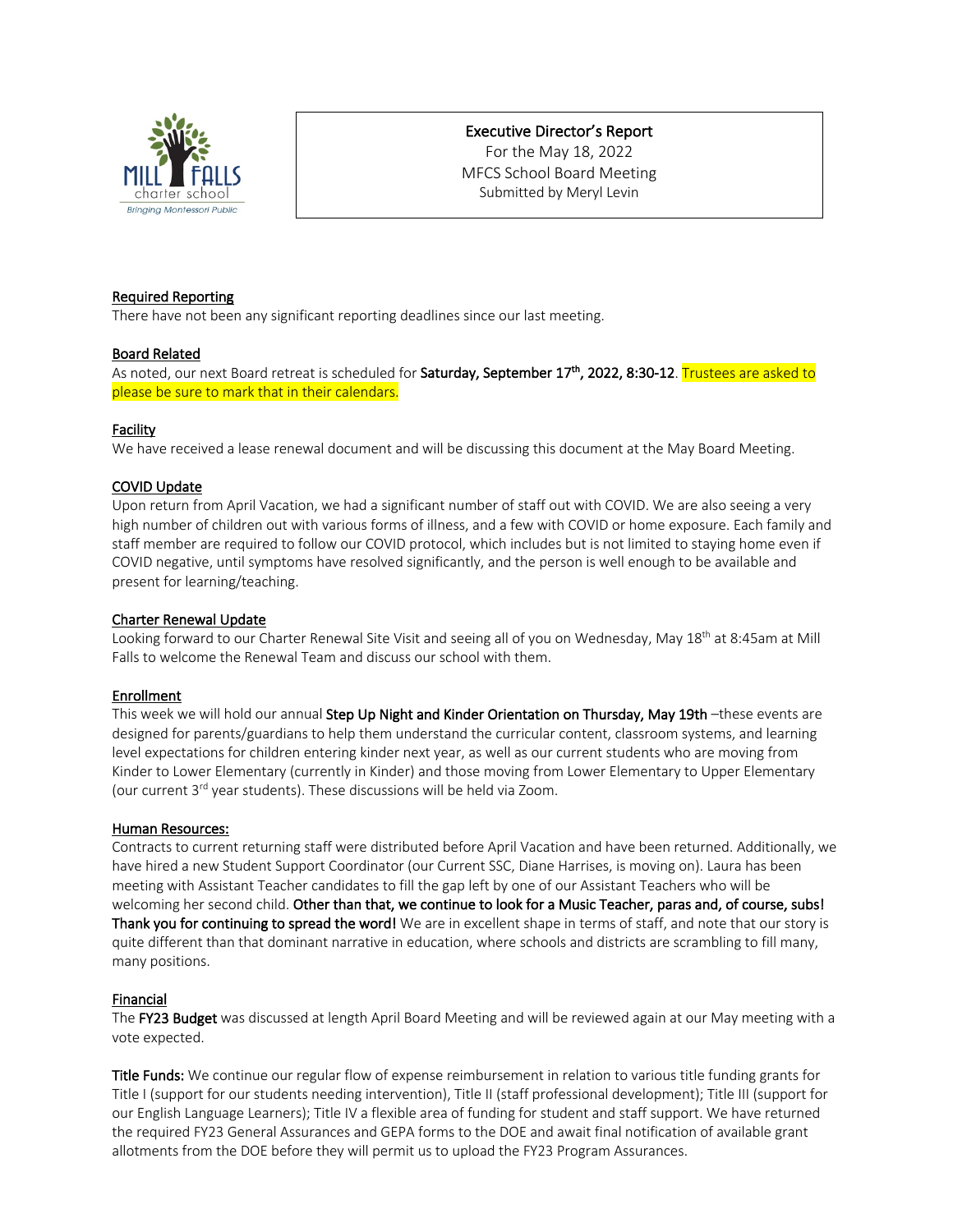

## Executive Director's Report

For the May 18, 2022 MFCS School Board Meeting Submitted by Meryl Levin

#### Required Reporting

There have not been any significant reporting deadlines since our last meeting.

#### Board Related

As noted, our next Board retreat is scheduled for Saturday, September 17<sup>th</sup>, 2022, 8:30-12. Trustees are asked to please be sure to mark that in their calendars.

#### Facility

We have received a lease renewal document and will be discussing this document at the May Board Meeting.

#### COVID Update

Upon return from April Vacation, we had a significant number of staff out with COVID. We are also seeing a very high number of children out with various forms of illness, and a few with COVID or home exposure. Each family and staff member are required to follow our COVID protocol, which includes but is not limited to staying home even if COVID negative, until symptoms have resolved significantly, and the person is well enough to be available and present for learning/teaching.

#### Charter Renewal Update

Looking forward to our Charter Renewal Site Visit and seeing all of you on Wednesday, May 18<sup>th</sup> at 8:45am at Mill Falls to welcome the Renewal Team and discuss our school with them.

#### Enrollment

This week we will hold our annual Step Up Night and Kinder Orientation on Thursday, May 19th -these events are designed for parents/guardians to help them understand the curricular content, classroom systems, and learning level expectations for children entering kinder next year, as well as our current students who are moving from Kinder to Lower Elementary (currently in Kinder) and those moving from Lower Elementary to Upper Elementary (our current 3rd year students). These discussions will be held via Zoom.

#### Human Resources:

Contracts to current returning staff were distributed before April Vacation and have been returned. Additionally, we have hired a new Student Support Coordinator (our Current SSC, Diane Harrises, is moving on). Laura has been meeting with Assistant Teacher candidates to fill the gap left by one of our Assistant Teachers who will be welcoming her second child. Other than that, we continue to look for a Music Teacher, paras and, of course, subs! Thank you for continuing to spread the word! We are in excellent shape in terms of staff, and note that our story is quite different than that dominant narrative in education, where schools and districts are scrambling to fill many, many positions.

#### Financial

The FY23 Budget was discussed at length April Board Meeting and will be reviewed again at our May meeting with a vote expected.

Title Funds: We continue our regular flow of expense reimbursement in relation to various title funding grants for Title I (support for our students needing intervention), Title II (staff professional development); Title III (support for our English Language Learners); Title IV a flexible area of funding for student and staff support. We have returned the required FY23 General Assurances and GEPA forms to the DOE and await final notification of available grant allotments from the DOE before they will permit us to upload the FY23 Program Assurances.